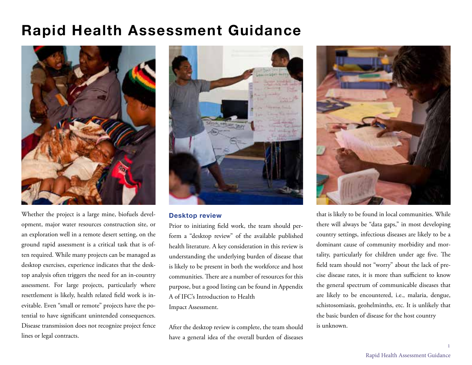## **Rapid Health Assessment Guidance**



Whether the project is a large mine, biofuels development, major water resources construction site, or an exploration well in a remote desert setting, on the ground rapid assessment is a critical task that is often required. While many projects can be managed as desktop exercises, experience indicates that the desktop analysis often triggers the need for an in-country assessment. For large projects, particularly where resettlement is likely, health related field work is inevitable. Even "small or remote" projects have the potential to have significant unintended consequences. Disease transmission does not recognize project fence lines or legal contracts.



## **Desktop review**

Prior to initiating field work, the team should perform a "desktop review" of the available published health literature. A key consideration in this review is understanding the underlying burden of disease that is likely to be present in both the workforce and host communities. There are a number of resources for this purpose, but a good listing can be found in Appendix A of IFC's Introduction to Health Impact Assessment.

After the desktop review is complete, the team should have a general idea of the overall burden of diseases



that is likely to be found in local communities. While there will always be "data gaps," in most developing country settings, infectious diseases are likely to be a dominant cause of community morbidity and mortality, particularly for children under age five. The field team should not "worry" about the lack of precise disease rates, it is more than sufficient to know the general spectrum of communicable diseases that are likely to be encountered, i.e., malaria, dengue, schistosomiasis, geohelminths, etc. It is unlikely that the basic burden of disease for the host country is unknown.

1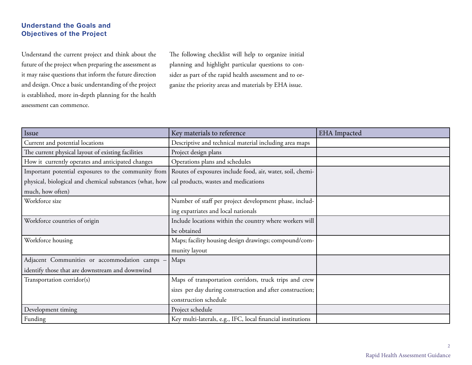## **Understand the Goals and Objectives of the Project**

Understand the current project and think about the future of the project when preparing the assessment as it may raise questions that inform the future direction and design. Once a basic understanding of the project is established, more in-depth planning for the health assessment can commence.

The following checklist will help to organize initial planning and highlight particular questions to consider as part of the rapid health assessment and to organize the priority areas and materials by EHA issue.

| Issue                                                   | Key materials to reference                                  | <b>EHA</b> Impacted |
|---------------------------------------------------------|-------------------------------------------------------------|---------------------|
| Current and potential locations                         | Descriptive and technical material including area maps      |                     |
| The current physical layout of existing facilities      | Project design plans                                        |                     |
| How it currently operates and anticipated changes       | Operations plans and schedules                              |                     |
| Important potential exposures to the community from     | Routes of exposures include food, air, water, soil, chemi-  |                     |
| physical, biological and chemical substances (what, how | cal products, wastes and medications                        |                     |
| much, how often)                                        |                                                             |                     |
| Workforce size                                          | Number of staff per project development phase, includ-      |                     |
|                                                         | ing expatriates and local nationals                         |                     |
| Workforce countries of origin                           | Include locations within the country where workers will     |                     |
|                                                         | be obtained                                                 |                     |
| Workforce housing                                       | Maps; facility housing design drawings; compound/com-       |                     |
|                                                         | munity layout                                               |                     |
| Adjacent Communities or accommodation camps -           | Maps                                                        |                     |
| identify those that are downstream and downwind         |                                                             |                     |
| Transportation corridor(s)                              | Maps of transportation corridors, truck trips and crew      |                     |
|                                                         | sizes per day during construction and after construction;   |                     |
|                                                         | construction schedule                                       |                     |
| Development timing                                      | Project schedule                                            |                     |
| Funding                                                 | Key multi-laterals, e.g., IFC, local financial institutions |                     |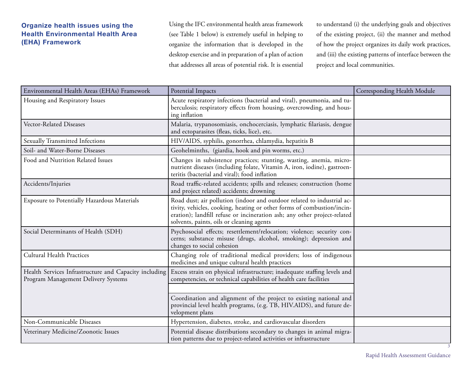## **Organize health issues using the Health Environmental Health Area (EHA) Framework**

Using the IFC environmental health areas framework (see Table 1 below) is extremely useful in helping to organize the information that is developed in the desktop exercise and in preparation of a plan of action that addresses all areas of potential risk. It is essential

to understand (i) the underlying goals and objectives of the existing project, (ii) the manner and method of how the project organizes its daily work practices, and (iii) the existing patterns of interface between the project and local communities.

| Environmental Health Areas (EHAs) Framework                                                  | Potential Impacts                                                                                                                                                                                                                                                         | Corresponding Health Module |
|----------------------------------------------------------------------------------------------|---------------------------------------------------------------------------------------------------------------------------------------------------------------------------------------------------------------------------------------------------------------------------|-----------------------------|
| Housing and Respiratory Issues                                                               | Acute respiratory infections (bacterial and viral), pneumonia, and tu-<br>berculosis; respiratory effects from housing, overcrowding, and hous-<br>ing inflation                                                                                                          |                             |
| Vector-Related Diseases                                                                      | Malaria, trypanosomiasis, onchocerciasis, lymphatic filariasis, dengue<br>and ectoparasites (fleas, ticks, lice), etc.                                                                                                                                                    |                             |
| Sexually Transmitted Infections                                                              | HIV/AIDS, syphilis, gonorrhea, chlamydia, hepatitis B                                                                                                                                                                                                                     |                             |
| Soil- and Water-Borne Diseases                                                               | Geohelminths, (giardia, hook and pin worms, etc.)                                                                                                                                                                                                                         |                             |
| Food and Nutrition Related Issues                                                            | Changes in subsistence practices; stunting, wasting, anemia, micro-<br>nutrient diseases (including folate, Vitamin A, iron, iodine), gastroen-<br>teritis (bacterial and viral); food inflation                                                                          |                             |
| Accidents/Injuries                                                                           | Road traffic-related accidents; spills and releases; construction (home<br>and project related) accidents; drowning                                                                                                                                                       |                             |
| Exposure to Potentially Hazardous Materials                                                  | Road dust; air pollution (indoor and outdoor related to industrial ac-<br>tivity, vehicles, cooking, heating or other forms of combustion/incin-<br>eration); landfill refuse or incineration ash; any other project-related<br>solvents, paints, oils or cleaning agents |                             |
| Social Determinants of Health (SDH)                                                          | Psychosocial effects; resettlement/relocation; violence; security con-<br>cerns; substance misuse (drugs, alcohol, smoking); depression and<br>changes to social cohesion                                                                                                 |                             |
| Cultural Health Practices                                                                    | Changing role of traditional medical providers; loss of indigenous<br>medicines and unique cultural health practices                                                                                                                                                      |                             |
| Health Services Infrastructure and Capacity including<br>Program Management Delivery Systems | Excess strain on physical infrastructure; inadequate staffing levels and<br>competencies, or technical capabilities of health care facilities                                                                                                                             |                             |
|                                                                                              | Coordination and alignment of the project to existing national and<br>provincial level health programs, (e.g. TB, HIV.AIDS), and future de-<br>velopment plans                                                                                                            |                             |
| Non-Communicable Diseases                                                                    | Hypertension, diabetes, stroke, and cardiovascular disorders                                                                                                                                                                                                              |                             |
| Veterinary Medicine/Zoonotic Issues                                                          | Potential disease distributions secondary to changes in animal migra-<br>tion patterns due to project-related activities or infrastructure                                                                                                                                |                             |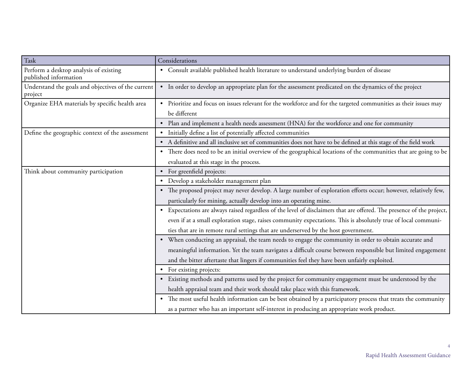| Task                                                            | Considerations                                                                                                                   |  |
|-----------------------------------------------------------------|----------------------------------------------------------------------------------------------------------------------------------|--|
| Perform a desktop analysis of existing<br>published information | • Consult available published health literature to understand underlying burden of disease                                       |  |
| Understand the goals and objectives of the current<br>project   | • In order to develop an appropriate plan for the assessment predicated on the dynamics of the project                           |  |
| Organize EHA materials by specific health area                  | • Prioritize and focus on issues relevant for the workforce and for the targeted communities as their issues may<br>be different |  |
|                                                                 | Plan and implement a health needs assessment (HNA) for the workforce and one for community                                       |  |
| Define the geographic context of the assessment                 | Initially define a list of potentially affected communities<br>$\bullet$                                                         |  |
|                                                                 | • A definitive and all inclusive set of communities does not have to be defined at this stage of the field work                  |  |
|                                                                 | • There does need to be an initial overview of the geographical locations of the communities that are going to be                |  |
|                                                                 | evaluated at this stage in the process.                                                                                          |  |
| Think about community participation                             | • For greenfield projects:                                                                                                       |  |
|                                                                 | • Develop a stakeholder management plan                                                                                          |  |
|                                                                 | • The proposed project may never develop. A large number of exploration efforts occur; however, relatively few,                  |  |
|                                                                 | particularly for mining, actually develop into an operating mine.                                                                |  |
|                                                                 | • Expectations are always raised regardless of the level of disclaimers that are offered. The presence of the project,           |  |
|                                                                 | even if at a small exploration stage, raises community expectations. This is absolutely true of local communi-                   |  |
|                                                                 | ties that are in remote rural settings that are underserved by the host government.                                              |  |
|                                                                 | • When conducting an appraisal, the team needs to engage the community in order to obtain accurate and                           |  |
|                                                                 | meaningful information. Yet the team navigates a difficult course between responsible but limited engagement                     |  |
|                                                                 | and the bitter aftertaste that lingers if communities feel they have been unfairly exploited.                                    |  |
|                                                                 | • For existing projects:                                                                                                         |  |
|                                                                 | • Existing methods and patterns used by the project for community engagement must be understood by the                           |  |
|                                                                 | health appraisal team and their work should take place with this framework.                                                      |  |
|                                                                 | • The most useful health information can be best obtained by a participatory process that treats the community                   |  |
|                                                                 | as a partner who has an important self-interest in producing an appropriate work product.                                        |  |